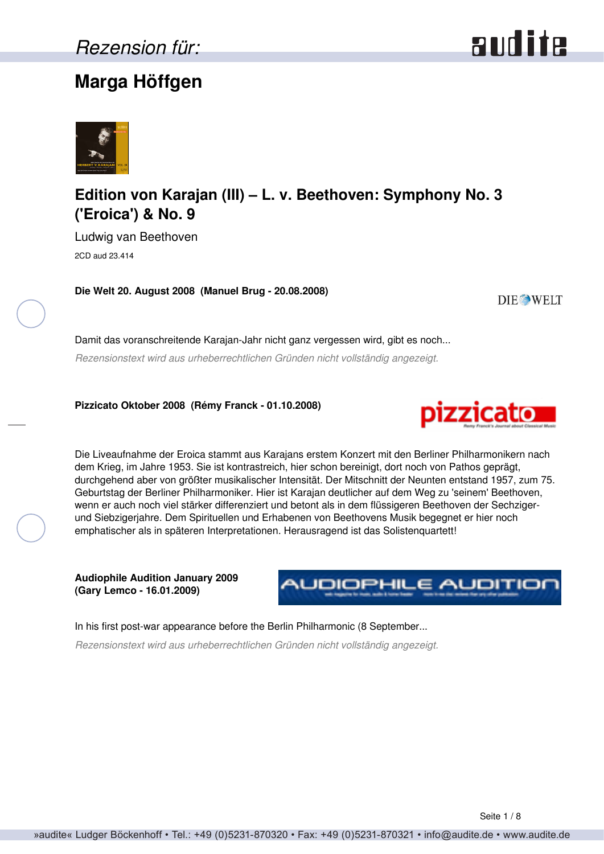# **Marga Höffgen**





# **Edition von Karajan (III) – L. v. Beethoven: Symphony No. 3 ('Eroica') & No. 9**

Ludwig van Beethoven 2CD aud 23.414

**Die Welt 20. August 2008 (Manuel Brug - 20.08.2008)**

**DIE WELT** 

Damit das voranschreitende Karajan-Jahr nicht ganz vergessen wird, gibt es noch... *Rezensionstext wird aus urheberrechtlichen Gründen nicht vollständig angezeigt.*

**Pizzicato Oktober 2008 (Rémy Franck - 01.10.2008)**



Die Liveaufnahme der Eroica stammt aus Karajans erstem Konzert mit den Berliner Philharmonikern nach dem Krieg, im Jahre 1953. Sie ist kontrastreich, hier schon bereinigt, dort noch von Pathos geprägt, durchgehend aber von größter musikalischer Intensität. Der Mitschnitt der Neunten entstand 1957, zum 75. Geburtstag der Berliner Philharmoniker. Hier ist Karajan deutlicher auf dem Weg zu 'seinem' Beethoven, wenn er auch noch viel stärker differenziert und betont als in dem flüssigeren Beethoven der Sechzigerund Siebzigerjahre. Dem Spirituellen und Erhabenen von Beethovens Musik begegnet er hier noch emphatischer als in späteren Interpretationen. Herausragend ist das Solistenquartett!

**Audiophile Audition January 2009 (Gary Lemco - 16.01.2009)**



In his first post-war appearance before the Berlin Philharmonic (8 September...

*Rezensionstext wird aus urheberrechtlichen Gründen nicht vollständig angezeigt.*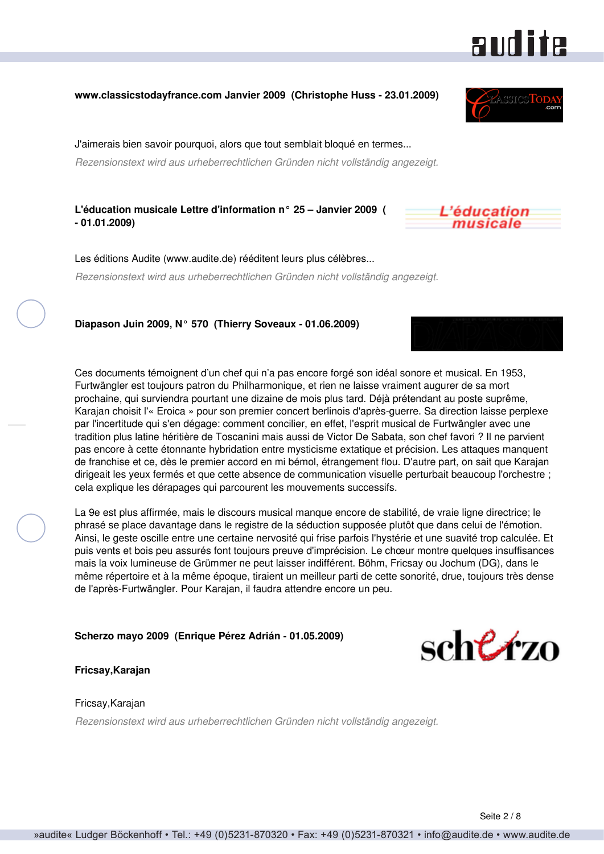## **www.classicstodayfrance.com Janvier 2009 (Christophe Huss - 23.01.2009)**

J'aimerais bien savoir pourquoi, alors que tout semblait bloqué en termes...

*Rezensionstext wird aus urheberrechtlichen Gründen nicht vollständig angezeigt.*

**L'éducation musicale Lettre d'information n° 25 – Janvier 2009 ( - 01.01.2009)**

Les éditions Audite (www.audite.de) rééditent leurs plus célèbres... *Rezensionstext wird aus urheberrechtlichen Gründen nicht vollständig angezeigt.*

**Diapason Juin 2009, N° 570 (Thierry Soveaux - 01.06.2009)**

Ces documents témoignent d'un chef qui n'a pas encore forgé son idéal sonore et musical. En 1953, Furtwängler est toujours patron du Philharmonique, et rien ne laisse vraiment augurer de sa mort prochaine, qui surviendra pourtant une dizaine de mois plus tard. Déjà prétendant au poste suprême, Karajan choisit l'« Eroica » pour son premier concert berlinois d'après-guerre. Sa direction laisse perplexe par l'incertitude qui s'en dégage: comment concilier, en effet, l'esprit musical de Furtwängler avec une tradition plus latine héritière de Toscanini mais aussi de Victor De Sabata, son chef favori ? Il ne parvient pas encore à cette étonnante hybridation entre mysticisme extatique et précision. Les attaques manquent de franchise et ce, dès le premier accord en mi bémol, étrangement flou. D'autre part, on sait que Karajan dirigeait les yeux fermés et que cette absence de communication visuelle perturbait beaucoup l'orchestre ; cela explique les dérapages qui parcourent les mouvements successifs.

La 9e est plus affirmée, mais le discours musical manque encore de stabilité, de vraie ligne directrice; le phrasé se place davantage dans le registre de la séduction supposée plutôt que dans celui de l'émotion. Ainsi, le geste oscille entre une certaine nervosité qui frise parfois l'hystérie et une suavité trop calculée. Et puis vents et bois peu assurés font toujours preuve d'imprécision. Le chœur montre quelques insuffisances mais la voix lumineuse de Grümmer ne peut laisser indifférent. Böhm, Fricsay ou Jochum (DG), dans le même répertoire et à la même époque, tiraient un meilleur parti de cette sonorité, drue, toujours très dense de l'après-Furtwängler. Pour Karajan, il faudra attendre encore un peu.

**Scherzo mayo 2009 (Enrique Pérez Adrián - 01.05.2009)**

## **Fricsay,Karajan**

#### Fricsay,Karajan

*Rezensionstext wird aus urheberrechtlichen Gründen nicht vollständig angezeigt.*

**audite** 





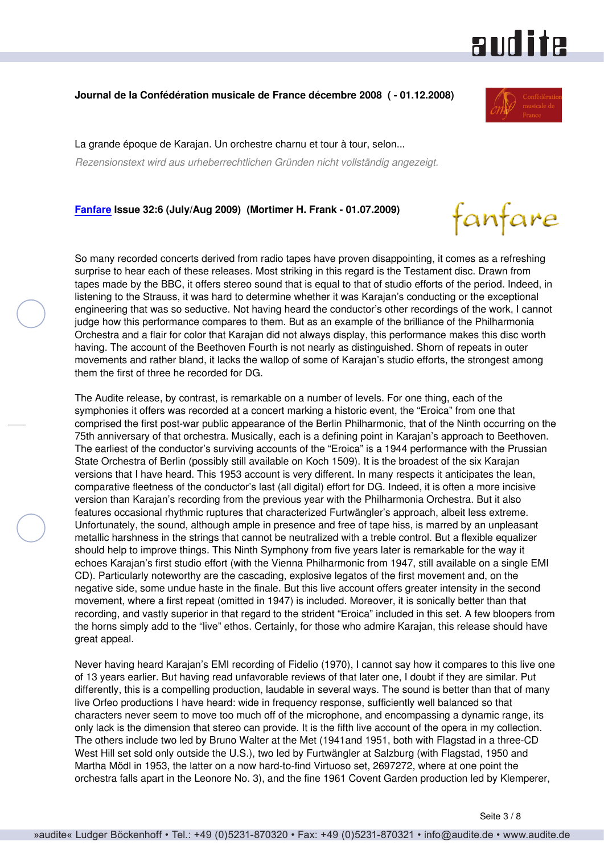

#### **Journal de la Confédération musicale de France décembre 2008 ( - 01.12.2008)**

La grande époque de Karajan. Un orchestre charnu et tour à tour, selon...

*Rezensionstext wird aus urheberrechtlichen Gründen nicht vollständig angezeigt.*

**[Fanfare](http://www.fanfaremag.com/) Issue 32:6 (July/Aug 2009) (Mortimer H. Frank - 01.07.2009)**



So many recorded concerts derived from radio tapes have proven disappointing, it comes as a refreshing surprise to hear each of these releases. Most striking in this regard is the Testament disc. Drawn from tapes made by the BBC, it offers stereo sound that is equal to that of studio efforts of the period. Indeed, in listening to the Strauss, it was hard to determine whether it was Karajan's conducting or the exceptional engineering that was so seductive. Not having heard the conductor's other recordings of the work, I cannot judge how this performance compares to them. But as an example of the brilliance of the Philharmonia Orchestra and a flair for color that Karajan did not always display, this performance makes this disc worth having. The account of the Beethoven Fourth is not nearly as distinguished. Shorn of repeats in outer movements and rather bland, it lacks the wallop of some of Karajan's studio efforts, the strongest among them the first of three he recorded for DG.

The Audite release, by contrast, is remarkable on a number of levels. For one thing, each of the symphonies it offers was recorded at a concert marking a historic event, the "Eroica" from one that comprised the first post-war public appearance of the Berlin Philharmonic, that of the Ninth occurring on the 75th anniversary of that orchestra. Musically, each is a defining point in Karajan's approach to Beethoven. The earliest of the conductor's surviving accounts of the "Eroica" is a 1944 performance with the Prussian State Orchestra of Berlin (possibly still available on Koch 1509). It is the broadest of the six Karajan versions that I have heard. This 1953 account is very different. In many respects it anticipates the lean, comparative fleetness of the conductor's last (all digital) effort for DG. Indeed, it is often a more incisive version than Karajan's recording from the previous year with the Philharmonia Orchestra. But it also features occasional rhythmic ruptures that characterized Furtwängler's approach, albeit less extreme. Unfortunately, the sound, although ample in presence and free of tape hiss, is marred by an unpleasant metallic harshness in the strings that cannot be neutralized with a treble control. But a flexible equalizer should help to improve things. This Ninth Symphony from five years later is remarkable for the way it echoes Karajan's first studio effort (with the Vienna Philharmonic from 1947, still available on a single EMI CD). Particularly noteworthy are the cascading, explosive legatos of the first movement and, on the negative side, some undue haste in the finale. But this live account offers greater intensity in the second movement, where a first repeat (omitted in 1947) is included. Moreover, it is sonically better than that recording, and vastly superior in that regard to the strident "Eroica" included in this set. A few bloopers from the horns simply add to the "live" ethos. Certainly, for those who admire Karajan, this release should have great appeal.

Never having heard Karajan's EMI recording of Fidelio (1970), I cannot say how it compares to this live one of 13 years earlier. But having read unfavorable reviews of that later one, I doubt if they are similar. Put differently, this is a compelling production, laudable in several ways. The sound is better than that of many live Orfeo productions I have heard: wide in frequency response, sufficiently well balanced so that characters never seem to move too much off of the microphone, and encompassing a dynamic range, its only lack is the dimension that stereo can provide. It is the fifth live account of the opera in my collection. The others include two led by Bruno Walter at the Met (1941and 1951, both with Flagstad in a three-CD West Hill set sold only outside the U.S.), two led by Furtwängler at Salzburg (with Flagstad, 1950 and Martha Mödl in 1953, the latter on a now hard-to-find Virtuoso set, 2697272, where at one point the orchestra falls apart in the Leonore No. 3), and the fine 1961 Covent Garden production led by Klemperer,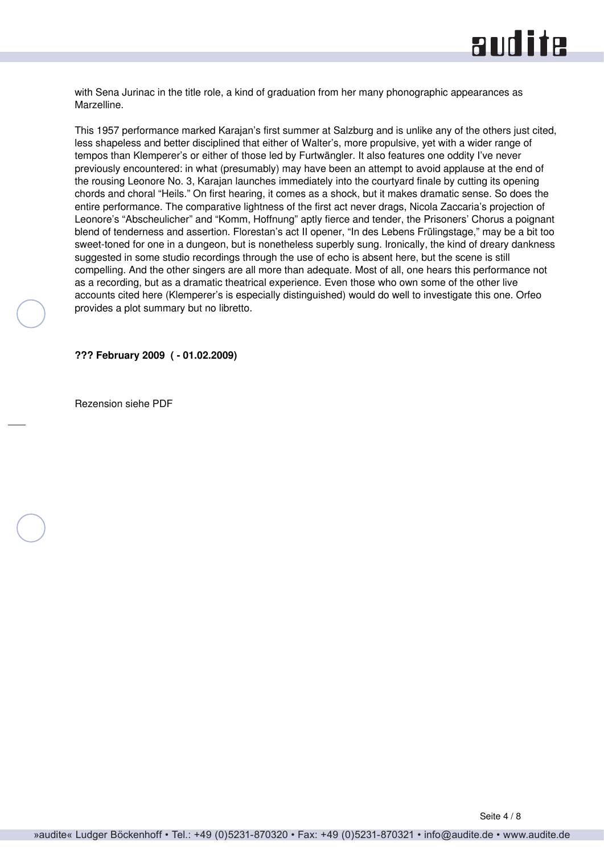

with Sena Jurinac in the title role, a kind of graduation from her many phonographic appearances as Marzelline.

This 1957 performance marked Karajan's first summer at Salzburg and is unlike any of the others just cited, less shapeless and better disciplined that either of Walter's, more propulsive, yet with a wider range of tempos than Klemperer's or either of those led by Furtwängler. It also features one oddity I've never previously encountered: in what (presumably) may have been an attempt to avoid applause at the end of the rousing Leonore No. 3, Karajan launches immediately into the courtyard finale by cutting its opening chords and choral "Heils." On first hearing, it comes as a shock, but it makes dramatic sense. So does the entire performance. The comparative lightness of the first act never drags, Nicola Zaccaria's projection of Leonore's "Abscheulicher" and "Komm, Hoffnung" aptly fierce and tender, the Prisoners' Chorus a poignant blend of tenderness and assertion. Florestan's act II opener, "In des Lebens Frülingstage," may be a bit too sweet-toned for one in a dungeon, but is nonetheless superbly sung. Ironically, the kind of dreary dankness suggested in some studio recordings through the use of echo is absent here, but the scene is still compelling. And the other singers are all more than adequate. Most of all, one hears this performance not as a recording, but as a dramatic theatrical experience. Even those who own some of the other live accounts cited here (Klemperer's is especially distinguished) would do well to investigate this one. Orfeo provides a plot summary but no libretto.

**??? February 2009 ( - 01.02.2009)**

Rezension siehe PDF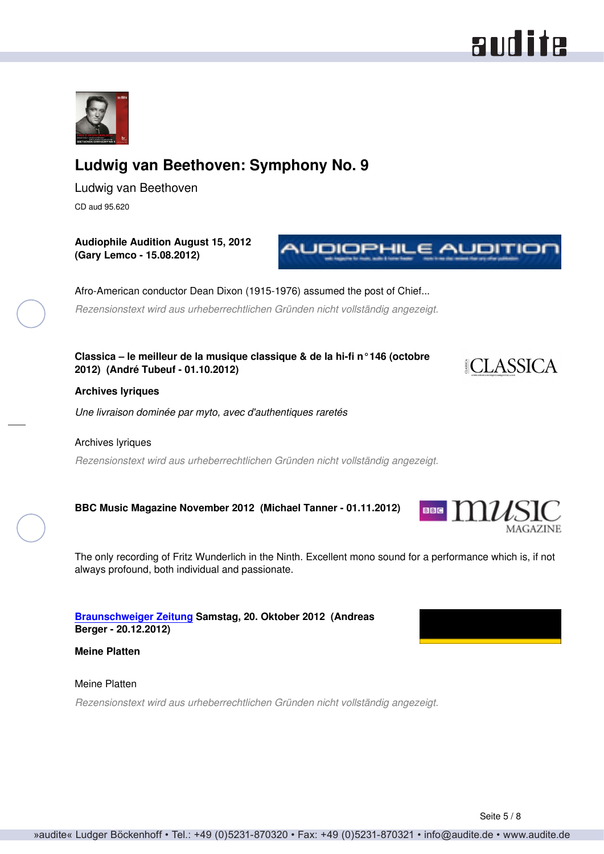# **Ludwig van Beethoven: Symphony No. 9**

Ludwig van Beethoven CD aud 95.620

**Audiophile Audition August 15, 2012 (Gary Lemco - 15.08.2012)**

Afro-American conductor Dean Dixon (1915-1976) assumed the post of Chief...

*Rezensionstext wird aus urheberrechtlichen Gründen nicht vollständig angezeigt.*

**Classica – le meilleur de la musique classique & de la hi-fi n°146 (octobre 2012) (André Tubeuf - 01.10.2012)**

#### **Archives lyriques**

*Une livraison dominée par myto, avec d'authentiques raretés*

#### Archives lyriques

*Rezensionstext wird aus urheberrechtlichen Gründen nicht vollständig angezeigt.*

**BBC Music Magazine November 2012 (Michael Tanner - 01.11.2012)**

The only recording of Fritz Wunderlich in the Ninth. Excellent mono sound for a performance which is, if not always profound, both individual and passionate.

**[Braunschweiger Zeitung](http://www.braunschweiger-zeitung.de) Samstag, 20. Oktober 2012 (Andreas Berger - 20.12.2012)**

**Meine Platten**

Meine Platten

*Rezensionstext wird aus urheberrechtlichen Gründen nicht vollständig angezeigt.*







**MAGAZINE** 

**NUDIOPHILE AUDITIO** 

BBG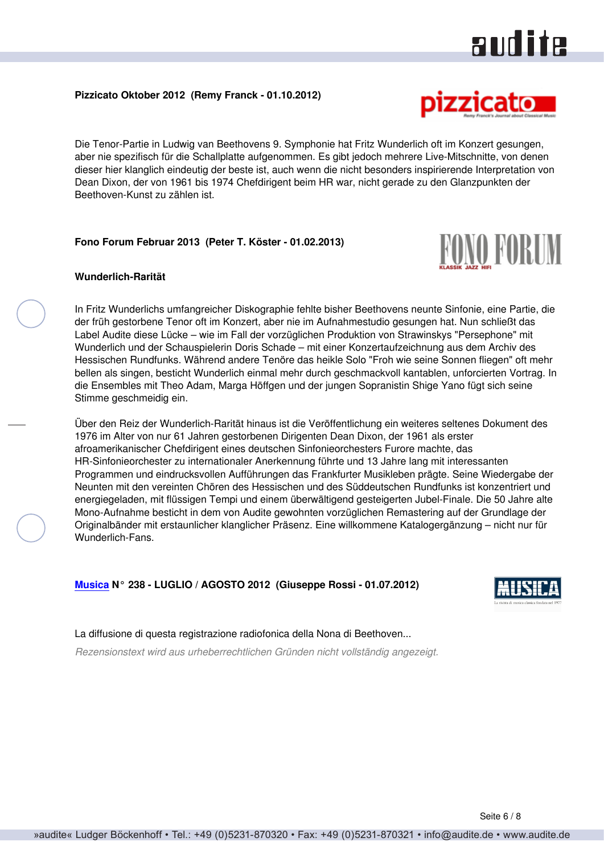### **Pizzicato Oktober 2012 (Remy Franck - 01.10.2012)**

Die Tenor-Partie in Ludwig van Beethovens 9. Symphonie hat Fritz Wunderlich oft im Konzert gesungen, aber nie spezifisch für die Schallplatte aufgenommen. Es gibt jedoch mehrere Live-Mitschnitte, von denen dieser hier klanglich eindeutig der beste ist, auch wenn die nicht besonders inspirierende Interpretation von Dean Dixon, der von 1961 bis 1974 Chefdirigent beim HR war, nicht gerade zu den Glanzpunkten der Beethoven-Kunst zu zählen ist.

## **Fono Forum Februar 2013 (Peter T. Köster - 01.02.2013)**

#### **Wunderlich-Rarität**

In Fritz Wunderlichs umfangreicher Diskographie fehlte bisher Beethovens neunte Sinfonie, eine Partie, die der früh gestorbene Tenor oft im Konzert, aber nie im Aufnahmestudio gesungen hat. Nun schließt das Label Audite diese Lücke – wie im Fall der vorzüglichen Produktion von Strawinskys "Persephone" mit Wunderlich und der Schauspielerin Doris Schade – mit einer Konzertaufzeichnung aus dem Archiv des Hessischen Rundfunks. Während andere Tenöre das heikle Solo "Froh wie seine Sonnen fliegen" oft mehr bellen als singen, besticht Wunderlich einmal mehr durch geschmackvoll kantablen, unforcierten Vortrag. In die Ensembles mit Theo Adam, Marga Höffgen und der jungen Sopranistin Shige Yano fügt sich seine Stimme geschmeidig ein.

Über den Reiz der Wunderlich-Rarität hinaus ist die Veröffentlichung ein weiteres seltenes Dokument des 1976 im Alter von nur 61 Jahren gestorbenen Dirigenten Dean Dixon, der 1961 als erster afroamerikanischer Chefdirigent eines deutschen Sinfonieorchesters Furore machte, das HR-Sinfonieorchester zu internationaler Anerkennung führte und 13 Jahre lang mit interessanten Programmen und eindrucksvollen Aufführungen das Frankfurter Musikleben prägte. Seine Wiedergabe der Neunten mit den vereinten Chören des Hessischen und des Süddeutschen Rundfunks ist konzentriert und energiegeladen, mit flüssigen Tempi und einem überwältigend gesteigerten Jubel-Finale. Die 50 Jahre alte Mono-Aufnahme besticht in dem von Audite gewohnten vorzüglichen Remastering auf der Grundlage der Originalbänder mit erstaunlicher klanglicher Präsenz. Eine willkommene Katalogergänzung – nicht nur für Wunderlich-Fans.

## **[Musica](http://www.rivistamusica.com) N° 238 - LUGLIO / AGOSTO 2012 (Giuseppe Rossi - 01.07.2012)**

La diffusione di questa registrazione radiofonica della Nona di Beethoven... *Rezensionstext wird aus urheberrechtlichen Gründen nicht vollständig angezeigt.*



**RONO PORUM** 

audite

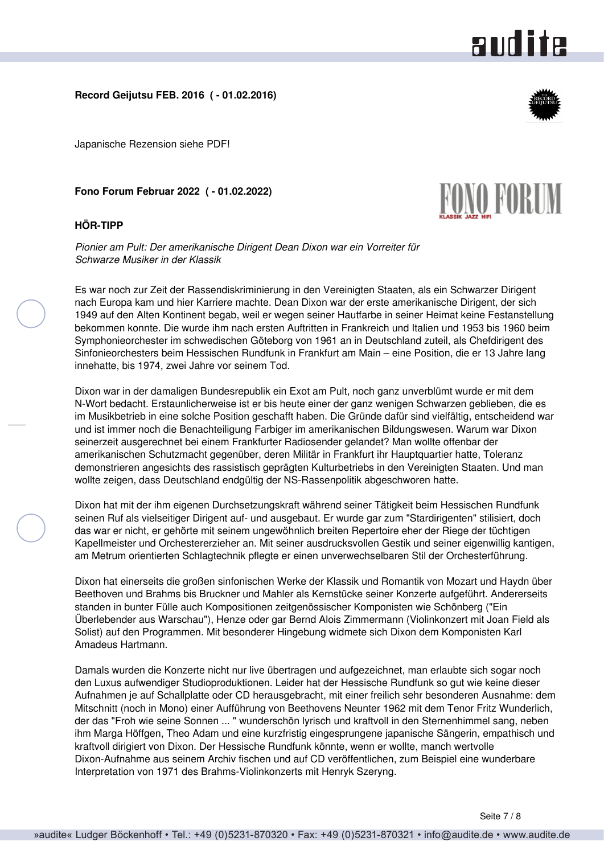

#### **Record Geijutsu FEB. 2016 ( - 01.02.2016)**

Japanische Rezension siehe PDF!

**Fono Forum Februar 2022 ( - 01.02.2022)**

#### **HÖR-TIPP**

*Pionier am Pult: Der amerikanische Dirigent Dean Dixon war ein Vorreiter für Schwarze Musiker in der Klassik*

Es war noch zur Zeit der Rassendiskriminierung in den Vereinigten Staaten, als ein Schwarzer Dirigent nach Europa kam und hier Karriere machte. Dean Dixon war der erste amerikanische Dirigent, der sich 1949 auf den Alten Kontinent begab, weil er wegen seiner Hautfarbe in seiner Heimat keine Festanstellung bekommen konnte. Die wurde ihm nach ersten Auftritten in Frankreich und Italien und 1953 bis 1960 beim Symphonieorchester im schwedischen Göteborg von 1961 an in Deutschland zuteil, als Chefdirigent des Sinfonieorchesters beim Hessischen Rundfunk in Frankfurt am Main – eine Position, die er 13 Jahre lang innehatte, bis 1974, zwei Jahre vor seinem Tod.

Dixon war in der damaligen Bundesrepublik ein Exot am Pult, noch ganz unverblümt wurde er mit dem N-Wort bedacht. Erstaunlicherweise ist er bis heute einer der ganz wenigen Schwarzen geblieben, die es im Musikbetrieb in eine solche Position geschafft haben. Die Gründe dafür sind vielfältig, entscheidend war und ist immer noch die Benachteiligung Farbiger im amerikanischen Bildungswesen. Warum war Dixon seinerzeit ausgerechnet bei einem Frankfurter Radiosender gelandet? Man wollte offenbar der amerikanischen Schutzmacht gegenüber, deren Militär in Frankfurt ihr Hauptquartier hatte, Toleranz demonstrieren angesichts des rassistisch geprägten Kulturbetriebs in den Vereinigten Staaten. Und man wollte zeigen, dass Deutschland endgültig der NS-Rassenpolitik abgeschworen hatte.

Dixon hat mit der ihm eigenen Durchsetzungskraft während seiner Tätigkeit beim Hessischen Rundfunk seinen Ruf als vielseitiger Dirigent auf- und ausgebaut. Er wurde gar zum "Stardirigenten" stilisiert, doch das war er nicht, er gehörte mit seinem ungewöhnlich breiten Repertoire eher der Riege der tüchtigen Kapellmeister und Orchestererzieher an. Mit seiner ausdrucksvollen Gestik und seiner eigenwillig kantigen, am Metrum orientierten Schlagtechnik pflegte er einen unverwechselbaren Stil der Orchesterführung.

Dixon hat einerseits die großen sinfonischen Werke der Klassik und Romantik von Mozart und Haydn über Beethoven und Brahms bis Bruckner und Mahler als Kernstücke seiner Konzerte aufgeführt. Andererseits standen in bunter Fülle auch Kompositionen zeitgenössischer Komponisten wie Schönberg ("Ein Überlebender aus Warschau"), Henze oder gar Bernd Alois Zimmermann (Violinkonzert mit Joan Field als Solist) auf den Programmen. Mit besonderer Hingebung widmete sich Dixon dem Komponisten Karl Amadeus Hartmann.

Damals wurden die Konzerte nicht nur live übertragen und aufgezeichnet, man erlaubte sich sogar noch den Luxus aufwendiger Studioproduktionen. Leider hat der Hessische Rundfunk so gut wie keine dieser Aufnahmen je auf Schallplatte oder CD herausgebracht, mit einer freilich sehr besonderen Ausnahme: dem Mitschnitt (noch in Mono) einer Aufführung von Beethovens Neunter 1962 mit dem Tenor Fritz Wunderlich, der das "Froh wie seine Sonnen ... " wunderschön lyrisch und kraftvoll in den Sternenhimmel sang, neben ihm Marga Höffgen, Theo Adam und eine kurzfristig eingesprungene japanische Sängerin, empathisch und kraftvoll dirigiert von Dixon. Der Hessische Rundfunk könnte, wenn er wollte, manch wertvolle Dixon-Aufnahme aus seinem Archiv fischen und auf CD veröffentlichen, zum Beispiel eine wunderbare Interpretation von 1971 des Brahms-Violinkonzerts mit Henryk Szeryng.